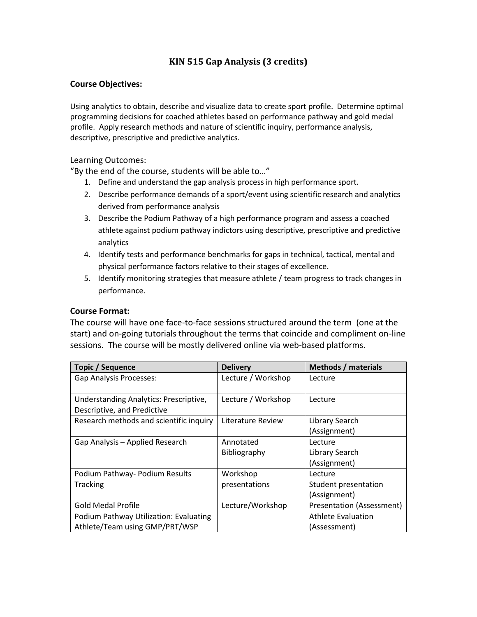### **KIN 515 Gap Analysis (3 credits)**

#### **Course Objectives:**

Using analytics to obtain, describe and visualize data to create sport profile. Determine optimal programming decisions for coached athletes based on performance pathway and gold medal profile. Apply research methods and nature of scientific inquiry, performance analysis, descriptive, prescriptive and predictive analytics.

#### Learning Outcomes:

"By the end of the course, students will be able to…"

- 1. Define and understand the gap analysis process in high performance sport.
- 2. Describe performance demands of a sport/event using scientific research and analytics derived from performance analysis
- 3. Describe the Podium Pathway of a high performance program and assess a coached athlete against podium pathway indictors using descriptive, prescriptive and predictive analytics
- 4. Identify tests and performance benchmarks for gaps in technical, tactical, mental and physical performance factors relative to their stages of excellence.
- 5. Identify monitoring strategies that measure athlete / team progress to track changes in performance.

#### **Course Format:**

The course will have one face-to-face sessions structured around the term (one at the start) and on-going tutorials throughout the terms that coincide and compliment on-line sessions. The course will be mostly delivered online via web-based platforms.

| Topic / Sequence                                                         | <b>Delivery</b>           | <b>Methods / materials</b>                      |
|--------------------------------------------------------------------------|---------------------------|-------------------------------------------------|
| <b>Gap Analysis Processes:</b>                                           | Lecture / Workshop        | Lecture                                         |
| Understanding Analytics: Prescriptive,<br>Descriptive, and Predictive    | Lecture / Workshop        | Lecture                                         |
| Research methods and scientific inquiry                                  | Literature Review         | Library Search<br>(Assignment)                  |
| Gap Analysis - Applied Research                                          | Annotated<br>Bibliography | Lecture<br>Library Search<br>(Assignment)       |
| Podium Pathway- Podium Results<br>Tracking                               | Workshop<br>presentations | Lecture<br>Student presentation<br>(Assignment) |
| <b>Gold Medal Profile</b>                                                | Lecture/Workshop          | Presentation (Assessment)                       |
| Podium Pathway Utilization: Evaluating<br>Athlete/Team using GMP/PRT/WSP |                           | Athlete Evaluation<br>(Assessment)              |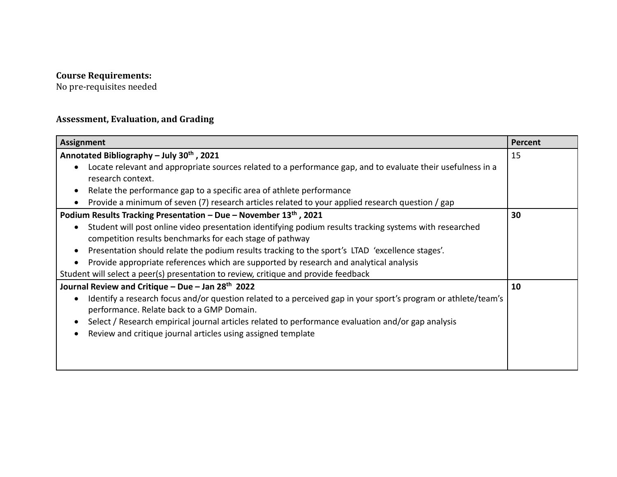#### **Course Requirements:**

No pre-requisites needed

# **Assessment, Evaluation, and Grading**

| <b>Assignment</b>                                                                                              | Percent |
|----------------------------------------------------------------------------------------------------------------|---------|
| Annotated Bibliography - July 30th, 2021                                                                       | 15      |
| Locate relevant and appropriate sources related to a performance gap, and to evaluate their usefulness in a    |         |
| research context.                                                                                              |         |
| Relate the performance gap to a specific area of athlete performance                                           |         |
| Provide a minimum of seven (7) research articles related to your applied research question / gap               |         |
| Podium Results Tracking Presentation - Due - November $13th$ , 2021                                            | 30      |
| Student will post online video presentation identifying podium results tracking systems with researched        |         |
| competition results benchmarks for each stage of pathway                                                       |         |
| Presentation should relate the podium results tracking to the sport's LTAD 'excellence stages'.                |         |
| Provide appropriate references which are supported by research and analytical analysis                         |         |
| Student will select a peer(s) presentation to review, critique and provide feedback                            |         |
| Journal Review and Critique – Due – Jan 28 <sup>th</sup> 2022                                                  | 10      |
| Identify a research focus and/or question related to a perceived gap in your sport's program or athlete/team's |         |
| performance. Relate back to a GMP Domain.                                                                      |         |
| Select / Research empirical journal articles related to performance evaluation and/or gap analysis             |         |
| Review and critique journal articles using assigned template                                                   |         |
|                                                                                                                |         |
|                                                                                                                |         |
|                                                                                                                |         |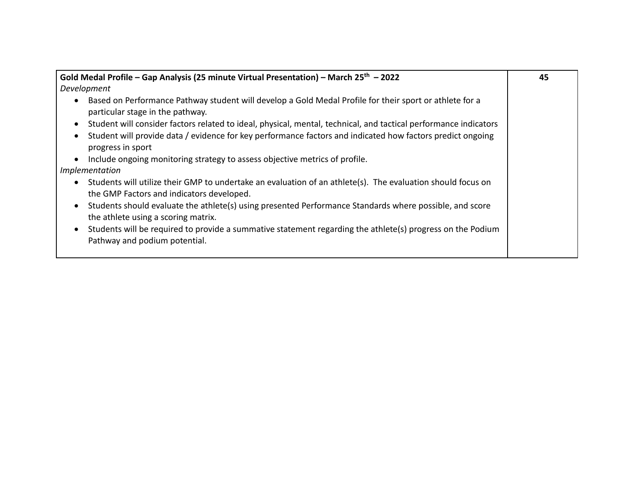| Gold Medal Profile - Gap Analysis (25 minute Virtual Presentation) - March 25 <sup>th</sup> - 2022                                                          | 45 |
|-------------------------------------------------------------------------------------------------------------------------------------------------------------|----|
| Development                                                                                                                                                 |    |
| Based on Performance Pathway student will develop a Gold Medal Profile for their sport or athlete for a<br>particular stage in the pathway.                 |    |
| Student will consider factors related to ideal, physical, mental, technical, and tactical performance indicators                                            |    |
| Student will provide data / evidence for key performance factors and indicated how factors predict ongoing<br>progress in sport                             |    |
| Include ongoing monitoring strategy to assess objective metrics of profile.                                                                                 |    |
| Implementation                                                                                                                                              |    |
| Students will utilize their GMP to undertake an evaluation of an athlete(s). The evaluation should focus on<br>the GMP Factors and indicators developed.    |    |
| Students should evaluate the athlete(s) using presented Performance Standards where possible, and score<br>$\bullet$<br>the athlete using a scoring matrix. |    |
| Students will be required to provide a summative statement regarding the athlete(s) progress on the Podium<br>Pathway and podium potential.                 |    |
|                                                                                                                                                             |    |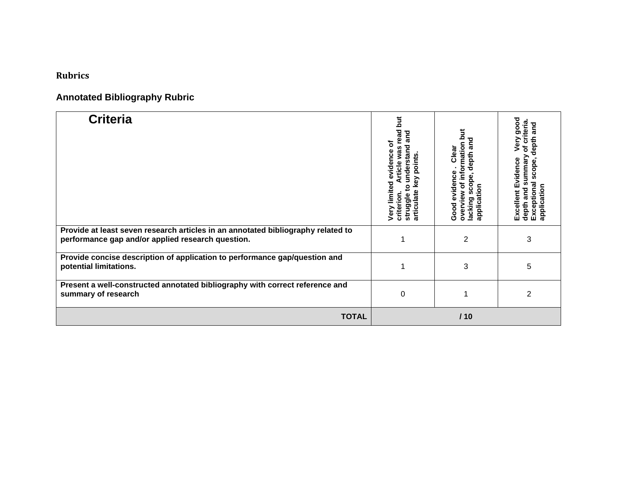## **Rubrics**

# **Annotated Bibliography Rubric**

| <b>Criteria</b>                                                                                                                       | <b>Jut</b><br>read<br>and<br>৳<br>understand<br>Article was<br>evidence<br>points.<br>key<br>Very limited<br>$\mathbf{S}$<br>articulate<br>criterion.<br>struggle | overview of information but<br>depth and<br>Clear<br>evidence<br>scope,<br>application<br>lacking<br>Good | Very good<br>of criteria<br>depth and<br>summary<br>Excellent Evidence<br>scope,<br>Exceptional<br>application<br>depth and |
|---------------------------------------------------------------------------------------------------------------------------------------|-------------------------------------------------------------------------------------------------------------------------------------------------------------------|-----------------------------------------------------------------------------------------------------------|-----------------------------------------------------------------------------------------------------------------------------|
| Provide at least seven research articles in an annotated bibliography related to<br>performance gap and/or applied research question. |                                                                                                                                                                   | $\overline{2}$                                                                                            | 3                                                                                                                           |
| Provide concise description of application to performance gap/question and<br>potential limitations.                                  |                                                                                                                                                                   | 3                                                                                                         | 5                                                                                                                           |
| Present a well-constructed annotated bibliography with correct reference and<br>summary of research                                   | 0                                                                                                                                                                 | 1                                                                                                         | 2                                                                                                                           |
| <b>TOTAL</b>                                                                                                                          |                                                                                                                                                                   | 110                                                                                                       |                                                                                                                             |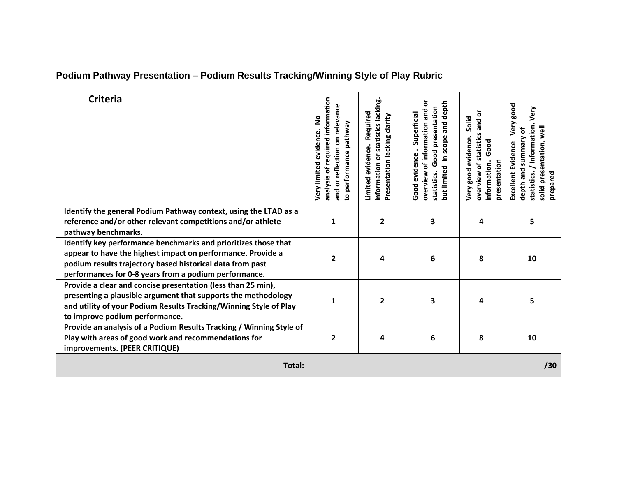| <b>Criteria</b>                                                                                                                                                                                                                                     | analysis of required information<br>and or reflection on relevance<br><u>S</u><br>to performance pathway<br>evidence<br>Very limited | information or statistics lacking.<br>Required<br>Presentation lacking clarity<br>Limited evidence. | overview of information and or<br>and depth<br>Good presentation<br>Superficial<br>in scope<br>Good evidence.<br>but limited<br>statistics. | overview of statistics and or<br>Solid<br>Very good evidence.<br>Good<br>information.<br>presentation | Very good<br>Very<br>statistics. / Information.<br>solid presentation, well<br>depth and summary of<br>Excellent Evidence<br>prepared |
|-----------------------------------------------------------------------------------------------------------------------------------------------------------------------------------------------------------------------------------------------------|--------------------------------------------------------------------------------------------------------------------------------------|-----------------------------------------------------------------------------------------------------|---------------------------------------------------------------------------------------------------------------------------------------------|-------------------------------------------------------------------------------------------------------|---------------------------------------------------------------------------------------------------------------------------------------|
| Identify the general Podium Pathway context, using the LTAD as a<br>reference and/or other relevant competitions and/or athlete<br>pathway benchmarks.                                                                                              | 1                                                                                                                                    | 2                                                                                                   | 3                                                                                                                                           | 4                                                                                                     | 5                                                                                                                                     |
| Identify key performance benchmarks and prioritizes those that<br>appear to have the highest impact on performance. Provide a<br>podium results trajectory based historical data from past<br>performances for 0-8 years from a podium performance. | $\overline{2}$                                                                                                                       | 4                                                                                                   | 6                                                                                                                                           | 8                                                                                                     | 10                                                                                                                                    |
| Provide a clear and concise presentation (less than 25 min),<br>presenting a plausible argument that supports the methodology<br>and utility of your Podium Results Tracking/Winning Style of Play<br>to improve podium performance.                | 1                                                                                                                                    | $\mathbf{2}$                                                                                        | 3                                                                                                                                           | 4                                                                                                     | 5                                                                                                                                     |
| Provide an analysis of a Podium Results Tracking / Winning Style of<br>Play with areas of good work and recommendations for<br>improvements. (PEER CRITIQUE)                                                                                        | $\overline{2}$                                                                                                                       | 4                                                                                                   | 6                                                                                                                                           | 8                                                                                                     | 10                                                                                                                                    |
| Total:                                                                                                                                                                                                                                              |                                                                                                                                      |                                                                                                     |                                                                                                                                             |                                                                                                       | /30                                                                                                                                   |

# **Podium Pathway Presentation – Podium Results Tracking/Winning Style of Play Rubric**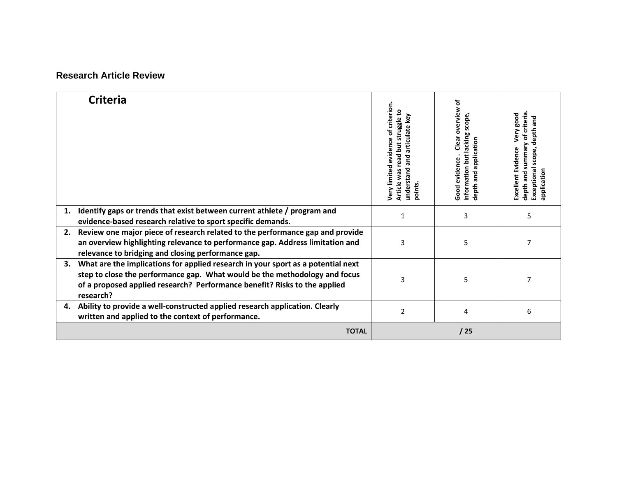### **Research Article Review**

|    | <b>Criteria</b>                                                                                                                                                                                                                                          | evidence of criterion.<br>read but struggle to<br>and articulate key<br><b>Jery limited</b><br>understand<br>Article was<br>points. | ৳<br>Clear overview<br>scope,<br>information but lacking<br>depth and application<br>Good evidence | depth and summary of criteria<br>Very good<br>depth and<br>Excellent Evidence<br>scope,<br>Exceptional<br>application |
|----|----------------------------------------------------------------------------------------------------------------------------------------------------------------------------------------------------------------------------------------------------------|-------------------------------------------------------------------------------------------------------------------------------------|----------------------------------------------------------------------------------------------------|-----------------------------------------------------------------------------------------------------------------------|
| 1. | Identify gaps or trends that exist between current athlete / program and<br>evidence-based research relative to sport specific demands.                                                                                                                  | 1                                                                                                                                   | 3                                                                                                  | 5                                                                                                                     |
| 2. | Review one major piece of research related to the performance gap and provide<br>an overview highlighting relevance to performance gap. Address limitation and<br>relevance to bridging and closing performance gap.                                     | 3                                                                                                                                   | 5                                                                                                  | 7                                                                                                                     |
| 3. | What are the implications for applied research in your sport as a potential next<br>step to close the performance gap. What would be the methodology and focus<br>of a proposed applied research? Performance benefit? Risks to the applied<br>research? | 3                                                                                                                                   | 5                                                                                                  |                                                                                                                       |
| 4. | Ability to provide a well-constructed applied research application. Clearly<br>written and applied to the context of performance.                                                                                                                        | $\overline{2}$                                                                                                                      | 4                                                                                                  | 6                                                                                                                     |
|    | <b>TOTAL</b>                                                                                                                                                                                                                                             |                                                                                                                                     | /25                                                                                                |                                                                                                                       |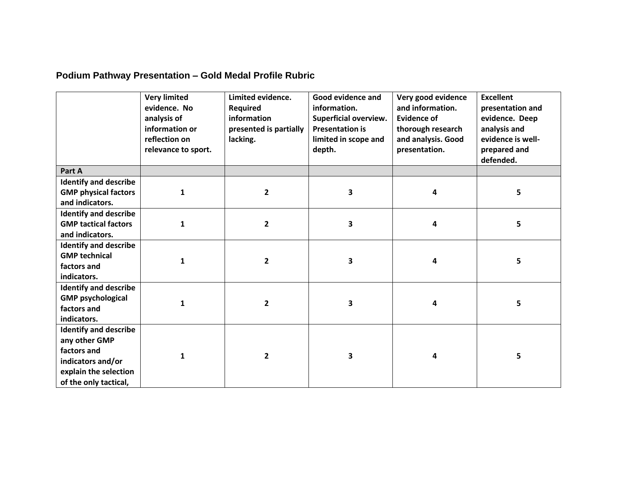# **Podium Pathway Presentation – Gold Medal Profile Rubric**

|                                                                                                                                     | <b>Very limited</b><br>evidence. No<br>analysis of<br>information or<br>reflection on<br>relevance to sport. | Limited evidence.<br>Required<br>information<br>presented is partially<br>lacking. | Good evidence and<br>information.<br>Superficial overview.<br><b>Presentation is</b><br>limited in scope and<br>depth. | Very good evidence<br>and information.<br><b>Evidence of</b><br>thorough research<br>and analysis. Good<br>presentation. | <b>Excellent</b><br>presentation and<br>evidence. Deep<br>analysis and<br>evidence is well-<br>prepared and<br>defended. |
|-------------------------------------------------------------------------------------------------------------------------------------|--------------------------------------------------------------------------------------------------------------|------------------------------------------------------------------------------------|------------------------------------------------------------------------------------------------------------------------|--------------------------------------------------------------------------------------------------------------------------|--------------------------------------------------------------------------------------------------------------------------|
| Part A                                                                                                                              |                                                                                                              |                                                                                    |                                                                                                                        |                                                                                                                          |                                                                                                                          |
| <b>Identify and describe</b>                                                                                                        |                                                                                                              |                                                                                    |                                                                                                                        |                                                                                                                          |                                                                                                                          |
| <b>GMP physical factors</b>                                                                                                         | 1                                                                                                            | $\overline{\mathbf{2}}$                                                            | 3                                                                                                                      | 4                                                                                                                        | 5                                                                                                                        |
| and indicators.                                                                                                                     |                                                                                                              |                                                                                    |                                                                                                                        |                                                                                                                          |                                                                                                                          |
| <b>Identify and describe</b>                                                                                                        |                                                                                                              |                                                                                    |                                                                                                                        |                                                                                                                          |                                                                                                                          |
| <b>GMP tactical factors</b>                                                                                                         | $\mathbf{1}$                                                                                                 | $\overline{2}$                                                                     | 3                                                                                                                      | 4                                                                                                                        | 5                                                                                                                        |
| and indicators.                                                                                                                     |                                                                                                              |                                                                                    |                                                                                                                        |                                                                                                                          |                                                                                                                          |
| <b>Identify and describe</b><br><b>GMP technical</b><br>factors and<br>indicators.                                                  | $\mathbf{1}$                                                                                                 | $\overline{\mathbf{2}}$                                                            | 3                                                                                                                      | 4                                                                                                                        | 5                                                                                                                        |
| <b>Identify and describe</b><br><b>GMP psychological</b><br>factors and<br>indicators.                                              | $\mathbf{1}$                                                                                                 | $\overline{2}$                                                                     | 3                                                                                                                      | 4                                                                                                                        | 5                                                                                                                        |
| <b>Identify and describe</b><br>any other GMP<br>factors and<br>indicators and/or<br>explain the selection<br>of the only tactical, | $\mathbf{1}$                                                                                                 | $\overline{2}$                                                                     | 3                                                                                                                      | 4                                                                                                                        | 5                                                                                                                        |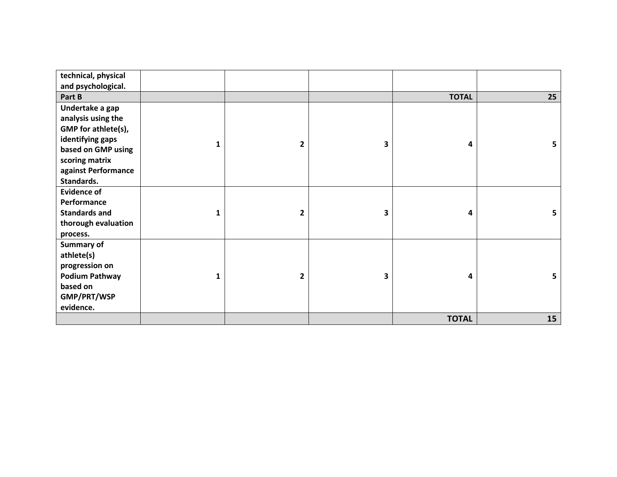| technical, physical   |   |              |   |              |    |
|-----------------------|---|--------------|---|--------------|----|
| and psychological.    |   |              |   |              |    |
| Part B                |   |              |   | <b>TOTAL</b> | 25 |
| Undertake a gap       |   |              |   |              |    |
| analysis using the    |   |              |   |              |    |
| GMP for athlete(s),   |   |              |   |              |    |
| identifying gaps      |   | 2            | 3 | 4            | 5  |
| based on GMP using    |   |              |   |              |    |
| scoring matrix        |   |              |   |              |    |
| against Performance   |   |              |   |              |    |
| Standards.            |   |              |   |              |    |
| <b>Evidence of</b>    |   |              |   |              |    |
| Performance           |   |              |   |              |    |
| <b>Standards and</b>  |   | $\mathbf{2}$ | 3 | 4            | 5  |
| thorough evaluation   |   |              |   |              |    |
| process.              |   |              |   |              |    |
| <b>Summary of</b>     |   |              |   |              |    |
| athlete(s)            |   |              |   |              |    |
| progression on        |   |              |   |              |    |
| <b>Podium Pathway</b> | 1 | 2            | 3 | 4            | 5. |
| based on              |   |              |   |              |    |
| GMP/PRT/WSP           |   |              |   |              |    |
| evidence.             |   |              |   |              |    |
|                       |   |              |   | <b>TOTAL</b> | 15 |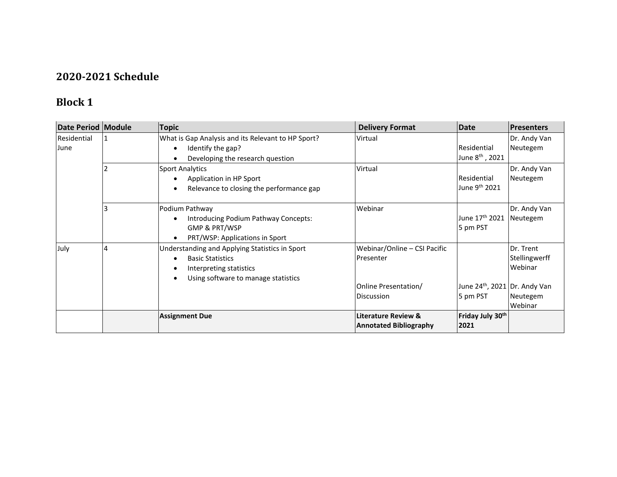## **2020-2021 Schedule**

# **Block 1**

| Date Period   Module |   | <b>Topic</b>                                                                                                                                             | <b>Delivery Format</b>                                          | Date                                                  | <b>Presenters</b>                     |
|----------------------|---|----------------------------------------------------------------------------------------------------------------------------------------------------------|-----------------------------------------------------------------|-------------------------------------------------------|---------------------------------------|
| Residential<br>June  |   | What is Gap Analysis and its Relevant to HP Sport?<br>Identify the gap?<br>Developing the research question                                              | Virtual                                                         | <b>Residential</b><br>June 8 <sup>th</sup> , 2021     | Dr. Andy Van<br>Neutegem              |
|                      |   | <b>Sport Analytics</b><br>Application in HP Sport<br>Relevance to closing the performance gap<br>$\bullet$                                               | Virtual                                                         | Residential<br>June 9 <sup>th</sup> 2021              | Dr. Andy Van<br>Neutegem              |
|                      |   | Podium Pathway<br>Introducing Podium Pathway Concepts:<br>GMP & PRT/WSP<br>PRT/WSP: Applications in Sport                                                | Webinar                                                         | June 17 <sup>th</sup> 2021<br>5 pm PST                | Dr. Andy Van<br>Neutegem              |
| July                 | 4 | Understanding and Applying Statistics in Sport<br><b>Basic Statistics</b><br>Interpreting statistics<br>$\bullet$<br>Using software to manage statistics | Webinar/Online - CSI Pacific<br>Presenter                       |                                                       | Dr. Trent<br>Stellingwerff<br>Webinar |
|                      |   |                                                                                                                                                          | Online Presentation/<br><b>Discussion</b>                       | June 24 <sup>th</sup> , 2021 Dr. Andy Van<br>5 pm PST | Neutegem<br>Webinar                   |
|                      |   | <b>Assignment Due</b>                                                                                                                                    | <b>Literature Review &amp;</b><br><b>Annotated Bibliography</b> | Friday July 30 <sup>th</sup><br>2021                  |                                       |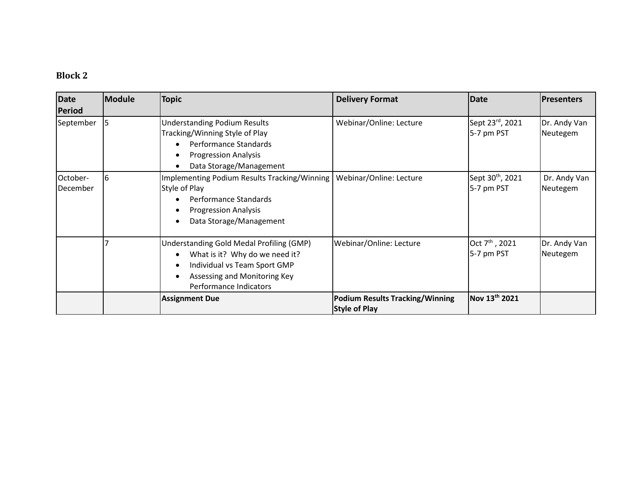# **Block 2**

| <b>Date</b><br><b>Period</b> | Module | <b>Topic</b>                                                                                                                                                         | <b>Delivery Format</b>                                         | <b>Date</b>                                | <b>Presenters</b>        |
|------------------------------|--------|----------------------------------------------------------------------------------------------------------------------------------------------------------------------|----------------------------------------------------------------|--------------------------------------------|--------------------------|
| September                    | 15     | <b>Understanding Podium Results</b><br>Tracking/Winning Style of Play<br>Performance Standards<br><b>Progression Analysis</b><br>Data Storage/Management             | Webinar/Online: Lecture                                        | Sept 23rd, 2021<br>5-7 pm PST              | Dr. Andy Van<br>Neutegem |
| October-<br>December         | 6      | <b>Implementing Podium Results Tracking/Winning</b><br>Style of Play<br>Performance Standards<br><b>Progression Analysis</b><br>Data Storage/Management              | Webinar/Online: Lecture                                        | Sept 30 <sup>th</sup> , 2021<br>5-7 pm PST | Dr. Andy Van<br>Neutegem |
|                              |        | Understanding Gold Medal Profiling (GMP)<br>What is it? Why do we need it?<br>Individual vs Team Sport GMP<br>Assessing and Monitoring Key<br>Performance Indicators | Webinar/Online: Lecture                                        | Oct $7^{\text{th}}$ , 2021<br>5-7 pm PST   | Dr. Andy Van<br>Neutegem |
|                              |        | <b>Assignment Due</b>                                                                                                                                                | <b>Podium Results Tracking/Winning</b><br><b>Style of Play</b> | Nov 13th 2021                              |                          |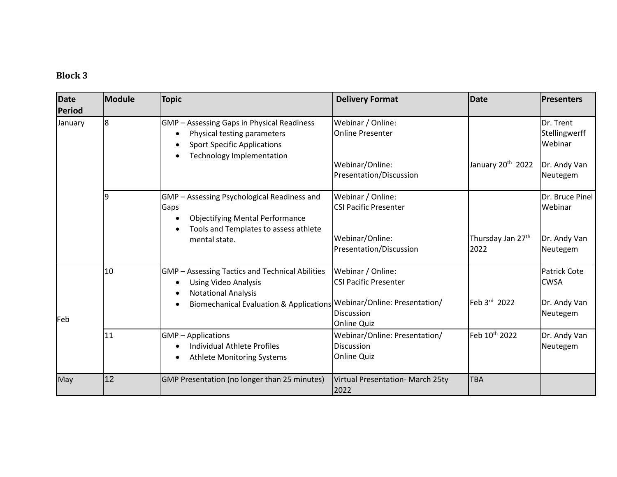# **Block 3**

| <b>Date</b><br>Period | Module | <b>Topic</b>                                                                                                                                                              | <b>Delivery Format</b>                                                             | <b>Date</b>                           | <b>IPresenters</b>                                 |
|-----------------------|--------|---------------------------------------------------------------------------------------------------------------------------------------------------------------------------|------------------------------------------------------------------------------------|---------------------------------------|----------------------------------------------------|
| January               | l8     | GMP - Assessing Gaps in Physical Readiness<br>Physical testing parameters<br><b>Sport Specific Applications</b><br><b>Technology Implementation</b>                       | Webinar / Online:<br><b>Online Presenter</b>                                       |                                       | Dr. Trent<br>Stellingwerff<br>Webinar              |
|                       |        |                                                                                                                                                                           | Webinar/Online:<br>Presentation/Discussion                                         | January 20 <sup>th</sup> 2022         | Dr. Andy Van<br>Neutegem                           |
|                       | 9      | GMP - Assessing Psychological Readiness and<br>Gaps<br><b>Objectifying Mental Performance</b><br>Tools and Templates to assess athlete                                    | Webinar / Online:<br><b>CSI Pacific Presenter</b>                                  |                                       | Dr. Bruce Pinel<br>Webinar                         |
|                       |        | mental state.                                                                                                                                                             | Webinar/Online:<br>Presentation/Discussion                                         | Thursday Jan 27 <sup>th</sup><br>2022 | Dr. Andy Van<br>Neutegem                           |
|                       | 10     | <b>GMP</b> - Assessing Tactics and Technical Abilities<br><b>Using Video Analysis</b><br><b>Notational Analysis</b><br><b>Biomechanical Evaluation &amp; Applications</b> | Webinar / Online:<br><b>CSI Pacific Presenter</b><br>Webinar/Online: Presentation/ | Feb 3rd 2022                          | <b>Patrick Cote</b><br><b>CWSA</b><br>Dr. Andy Van |
| Feb                   |        |                                                                                                                                                                           | <b>Discussion</b><br><b>Online Quiz</b>                                            |                                       | Neutegem                                           |
|                       | 11     | <b>GMP</b> – Applications<br><b>Individual Athlete Profiles</b><br><b>Athlete Monitoring Systems</b>                                                                      | Webinar/Online: Presentation/<br><b>Discussion</b><br><b>Online Quiz</b>           | Feb 10th 2022                         | Dr. Andy Van<br>Neutegem                           |
| May                   | 12     | GMP Presentation (no longer than 25 minutes)                                                                                                                              | Virtual Presentation- March 25ty<br>2022                                           | <b>TBA</b>                            |                                                    |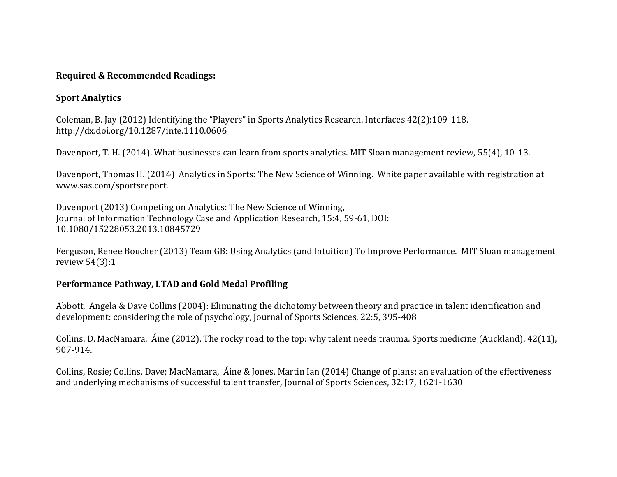### **Required & Recommended Readings:**

### **Sport Analytics**

Coleman, B. Jay (2012) Identifying the "Players" in Sports Analytics Research. Interfaces 42(2):109-118. http://dx.doi.org/10.1287/inte.1110.0606

Davenport, T. H. (2014). What businesses can learn from sports analytics. MIT Sloan management review, 55(4), 10-13.

Davenport, Thomas H. (2014) Analytics in Sports: The New Science of Winning. White paper available with registration at www.sas.com/sportsreport.

Davenport (2013) Competing on Analytics: The New Science of Winning, Journal of Information Technology Case and Application Research, 15:4, 59-61, DOI: 10.1080/15228053.2013.10845729

Ferguson, Renee Boucher (2013) Team GB: Using Analytics (and Intuition) To Improve Performance. MIT Sloan management review 54(3):1

### **Performance Pathway, LTAD and Gold Medal Profiling**

Abbott, Angela & Dave Collins (2004): Eliminating the dichotomy between theory and practice in talent identification and development: considering the role of psychology, Journal of Sports Sciences, 22:5, 395-408

Collins, D. MacNamara, Áine (2012). The rocky road to the top: why talent needs trauma. Sports medicine (Auckland), 42(11), 907-914.

Collins, Rosie; Collins, Dave; MacNamara, Áine & Jones, Martin Ian (2014) Change of plans: an evaluation of the effectiveness and underlying mechanisms of successful talent transfer, Journal of Sports Sciences, 32:17, 1621-1630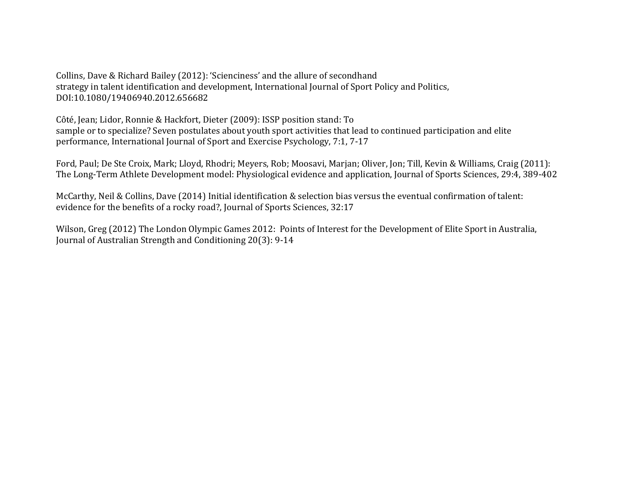Collins, Dave & Richard Bailey (2012): 'Scienciness' and the allure of secondhand strategy in talent identification and development, International Journal of Sport Policy and Politics, DOI:10.1080/19406940.2012.656682

Côté, Jean; Lidor, Ronnie & Hackfort, Dieter (2009): ISSP position stand: To sample or to specialize? Seven postulates about youth sport activities that lead to continued participation and elite performance, International Journal of Sport and Exercise Psychology, 7:1, 7-17

Ford, Paul; De Ste Croix, Mark; Lloyd, Rhodri; Meyers, Rob; Moosavi, Marjan; Oliver, Jon; Till, Kevin & Williams, Craig (2011): The Long-Term Athlete Development model: Physiological evidence and application, Journal of Sports Sciences, 29:4, 389-402

McCarthy, Neil & Collins, Dave (2014) Initial identification & selection bias versus the eventual confirmation of talent: evidence for the benefits of a rocky road?, Journal of Sports Sciences, 32:17

Wilson, Greg (2012) The London Olympic Games 2012: Points of Interest for the Development of Elite Sport in Australia, Journal of Australian Strength and Conditioning 20(3): 9-14